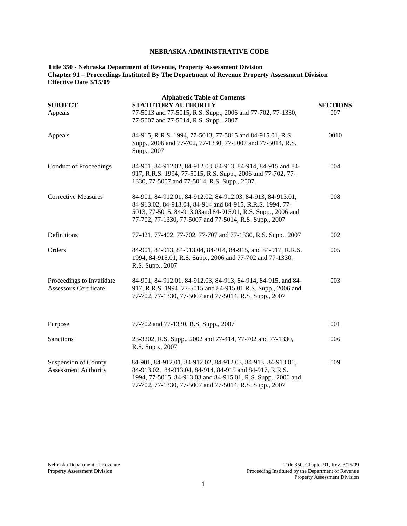# **NEBRASKA ADMINISTRATIVE CODE**

# **Title 350 - Nebraska Department of Revenue, Property Assessment Division Chapter 91 – Proceedings Instituted By The Department of Revenue Property Assessment Division Effective Date 3/15/09**

| <b>SUBJECT</b><br>Appeals                                  | <b>Alphabetic Table of Contents</b><br>STATUTORY AUTHORITY<br>77-5013 and 77-5015, R.S. Supp., 2006 and 77-702, 77-1330,<br>77-5007 and 77-5014, R.S. Supp., 2007                                                                                  | <b>SECTIONS</b><br>007 |
|------------------------------------------------------------|----------------------------------------------------------------------------------------------------------------------------------------------------------------------------------------------------------------------------------------------------|------------------------|
| Appeals                                                    | 84-915, R.R.S. 1994, 77-5013, 77-5015 and 84-915.01, R.S.<br>Supp., 2006 and 77-702, 77-1330, 77-5007 and 77-5014, R.S.<br>Supp., 2007                                                                                                             | 0010                   |
| <b>Conduct of Proceedings</b>                              | 84-901, 84-912.02, 84-912.03, 84-913, 84-914, 84-915 and 84-<br>917, R.R.S. 1994, 77-5015, R.S. Supp., 2006 and 77-702, 77-<br>1330, 77-5007 and 77-5014, R.S. Supp., 2007.                                                                        | 004                    |
| <b>Corrective Measures</b>                                 | 84-901, 84-912.01, 84-912.02, 84-912.03, 84-913, 84-913.01,<br>84-913.02, 84-913.04, 84-914 and 84-915, R.R.S. 1994, 77-<br>5013, 77-5015, 84-913.03 and 84-915.01, R.S. Supp., 2006 and<br>77-702, 77-1330, 77-5007 and 77-5014, R.S. Supp., 2007 | 008                    |
| Definitions                                                | 77-421, 77-402, 77-702, 77-707 and 77-1330, R.S. Supp., 2007                                                                                                                                                                                       | 002                    |
| Orders                                                     | 84-901, 84-913, 84-913.04, 84-914, 84-915, and 84-917, R.R.S.<br>1994, 84-915.01, R.S. Supp., 2006 and 77-702 and 77-1330,<br>R.S. Supp., 2007                                                                                                     | 005                    |
| Proceedings to Invalidate<br><b>Assessor's Certificate</b> | 84-901, 84-912.01, 84-912.03, 84-913, 84-914, 84-915, and 84-<br>917, R.R.S. 1994, 77-5015 and 84-915.01 R.S. Supp., 2006 and<br>77-702, 77-1330, 77-5007 and 77-5014, R.S. Supp., 2007                                                            | 003                    |
| Purpose                                                    | 77-702 and 77-1330, R.S. Supp., 2007                                                                                                                                                                                                               | 001                    |
| Sanctions                                                  | 23-3202, R.S. Supp., 2002 and 77-414, 77-702 and 77-1330,<br>R.S. Supp., 2007                                                                                                                                                                      | 006                    |
| Suspension of County<br><b>Assessment Authority</b>        | 84-901, 84-912.01, 84-912.02, 84-912.03, 84-913, 84-913.01,<br>84-913.02, 84-913.04, 84-914, 84-915 and 84-917, R.R.S.<br>1994, 77-5015, 84-913.03 and 84-915.01, R.S. Supp., 2006 and<br>77-702, 77-1330, 77-5007 and 77-5014, R.S. Supp., 2007   | 009                    |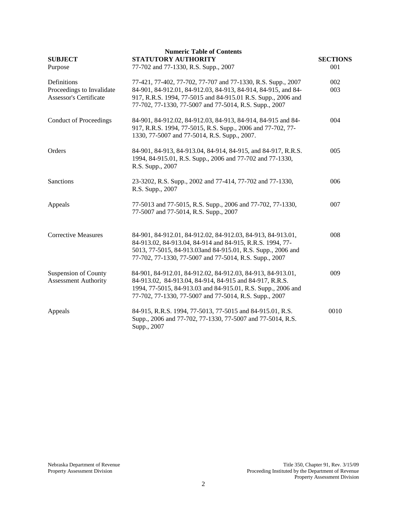| <b>SUBJECT</b><br>Purpose                                          | <b>Numeric Table of Contents</b><br>STATUTORY AUTHORITY<br>77-702 and 77-1330, R.S. Supp., 2007                                                                                                                                                         | <b>SECTIONS</b><br>001 |
|--------------------------------------------------------------------|---------------------------------------------------------------------------------------------------------------------------------------------------------------------------------------------------------------------------------------------------------|------------------------|
| Definitions<br>Proceedings to Invalidate<br>Assessor's Certificate | 77-421, 77-402, 77-702, 77-707 and 77-1330, R.S. Supp., 2007<br>84-901, 84-912.01, 84-912.03, 84-913, 84-914, 84-915, and 84-<br>917, R.R.S. 1994, 77-5015 and 84-915.01 R.S. Supp., 2006 and<br>77-702, 77-1330, 77-5007 and 77-5014, R.S. Supp., 2007 | 002<br>003             |
| <b>Conduct of Proceedings</b>                                      | 84-901, 84-912.02, 84-912.03, 84-913, 84-914, 84-915 and 84-<br>917, R.R.S. 1994, 77-5015, R.S. Supp., 2006 and 77-702, 77-<br>1330, 77-5007 and 77-5014, R.S. Supp., 2007.                                                                             | 004                    |
| Orders                                                             | 84-901, 84-913, 84-913.04, 84-914, 84-915, and 84-917, R.R.S.<br>1994, 84-915.01, R.S. Supp., 2006 and 77-702 and 77-1330,<br>R.S. Supp., 2007                                                                                                          | 005                    |
| Sanctions                                                          | 23-3202, R.S. Supp., 2002 and 77-414, 77-702 and 77-1330,<br>R.S. Supp., 2007                                                                                                                                                                           | 006                    |
| Appeals                                                            | 77-5013 and 77-5015, R.S. Supp., 2006 and 77-702, 77-1330,<br>77-5007 and 77-5014, R.S. Supp., 2007                                                                                                                                                     | 007                    |
| <b>Corrective Measures</b>                                         | 84-901, 84-912.01, 84-912.02, 84-912.03, 84-913, 84-913.01,<br>84-913.02, 84-913.04, 84-914 and 84-915, R.R.S. 1994, 77-<br>5013, 77-5015, 84-913.03and 84-915.01, R.S. Supp., 2006 and<br>77-702, 77-1330, 77-5007 and 77-5014, R.S. Supp., 2007       | 008                    |
| <b>Suspension of County</b><br><b>Assessment Authority</b>         | 84-901, 84-912.01, 84-912.02, 84-912.03, 84-913, 84-913.01,<br>84-913.02, 84-913.04, 84-914, 84-915 and 84-917, R.R.S.<br>1994, 77-5015, 84-913.03 and 84-915.01, R.S. Supp., 2006 and<br>77-702, 77-1330, 77-5007 and 77-5014, R.S. Supp., 2007        | 009                    |
| Appeals                                                            | 84-915, R.R.S. 1994, 77-5013, 77-5015 and 84-915.01, R.S.<br>Supp., 2006 and 77-702, 77-1330, 77-5007 and 77-5014, R.S.<br>Supp., 2007                                                                                                                  | 0010                   |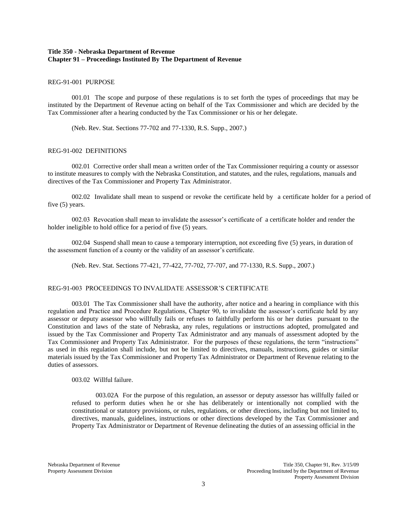## **Title 350 - Nebraska Department of Revenue Chapter 91 – Proceedings Instituted By The Department of Revenue**

## REG-91-001 PURPOSE

001.01 The scope and purpose of these regulations is to set forth the types of proceedings that may be instituted by the Department of Revenue acting on behalf of the Tax Commissioner and which are decided by the Tax Commissioner after a hearing conducted by the Tax Commissioner or his or her delegate.

(Neb. Rev. Stat. Sections 77-702 and 77-1330, R.S. Supp., 2007.)

#### REG-91-002 DEFINITIONS

002.01 Corrective order shall mean a written order of the Tax Commissioner requiring a county or assessor to institute measures to comply with the Nebraska Constitution, and statutes, and the rules, regulations, manuals and directives of the Tax Commissioner and Property Tax Administrator.

002.02 Invalidate shall mean to suspend or revoke the certificate held by a certificate holder for a period of five (5) years.

002.03 Revocation shall mean to invalidate the assessor's certificate of a certificate holder and render the holder ineligible to hold office for a period of five (5) years.

002.04 Suspend shall mean to cause a temporary interruption, not exceeding five (5) years, in duration of the assessment function of a county or the validity of an assessor's certificate.

(Neb. Rev. Stat. Sections 77-421, 77-422, 77-702, 77-707, and 77-1330, R.S. Supp., 2007.)

## REG-91-003 PROCEEDINGS TO INVALIDATE ASSESSOR'S CERTIFICATE

003.01 The Tax Commissioner shall have the authority, after notice and a hearing in compliance with this regulation and Practice and Procedure Regulations, Chapter 90, to invalidate the assessor's certificate held by any assessor or deputy assessor who willfully fails or refuses to faithfully perform his or her duties pursuant to the Constitution and laws of the state of Nebraska, any rules, regulations or instructions adopted, promulgated and issued by the Tax Commissioner and Property Tax Administrator and any manuals of assessment adopted by the Tax Commissioner and Property Tax Administrator. For the purposes of these regulations, the term "instructions" as used in this regulation shall include, but not be limited to directives, manuals, instructions, guides or similar materials issued by the Tax Commissioner and Property Tax Administrator or Department of Revenue relating to the duties of assessors.

003.02 Willful failure.

003.02A For the purpose of this regulation, an assessor or deputy assessor has willfully failed or refused to perform duties when he or she has deliberately or intentionally not complied with the constitutional or statutory provisions, or rules, regulations, or other directions, including but not limited to, directives, manuals, guidelines, instructions or other directions developed by the Tax Commissioner and Property Tax Administrator or Department of Revenue delineating the duties of an assessing official in the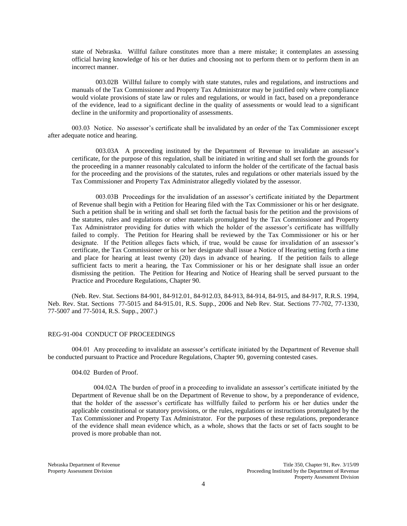state of Nebraska. Willful failure constitutes more than a mere mistake; it contemplates an assessing official having knowledge of his or her duties and choosing not to perform them or to perform them in an incorrect manner.

003.02B Willful failure to comply with state statutes, rules and regulations, and instructions and manuals of the Tax Commissioner and Property Tax Administrator may be justified only where compliance would violate provisions of state law or rules and regulations, or would in fact, based on a preponderance of the evidence, lead to a significant decline in the quality of assessments or would lead to a significant decline in the uniformity and proportionality of assessments.

003.03 Notice. No assessor's certificate shall be invalidated by an order of the Tax Commissioner except after adequate notice and hearing.

003.03A A proceeding instituted by the Department of Revenue to invalidate an assessor's certificate, for the purpose of this regulation, shall be initiated in writing and shall set forth the grounds for the proceeding in a manner reasonably calculated to inform the holder of the certificate of the factual basis for the proceeding and the provisions of the statutes, rules and regulations or other materials issued by the Tax Commissioner and Property Tax Administrator allegedly violated by the assessor.

003.03B Proceedings for the invalidation of an assessor's certificate initiated by the Department of Revenue shall begin with a Petition for Hearing filed with the Tax Commissioner or his or her designate. Such a petition shall be in writing and shall set forth the factual basis for the petition and the provisions of the statutes, rules and regulations or other materials promulgated by the Tax Commissioner and Property Tax Administrator providing for duties with which the holder of the assessor's certificate has willfully failed to comply. The Petition for Hearing shall be reviewed by the Tax Commissioner or his or her designate. If the Petition alleges facts which, if true, would be cause for invalidation of an assessor's certificate, the Tax Commissioner or his or her designate shall issue a Notice of Hearing setting forth a time and place for hearing at least twenty (20) days in advance of hearing. If the petition fails to allege sufficient facts to merit a hearing, the Tax Commissioner or his or her designate shall issue an order dismissing the petition. The Petition for Hearing and Notice of Hearing shall be served pursuant to the Practice and Procedure Regulations, Chapter 90.

(Neb. Rev. Stat. Sections 84-901, 84-912.01, 84-912.03, 84-913, 84-914, 84-915, and 84-917, R.R.S. 1994, Neb. Rev. Stat. Sections 77-5015 and 84-915.01, R.S. Supp., 2006 and Neb Rev. Stat. Sections 77-702, 77-1330, 77-5007 and 77-5014, R.S. Supp., 2007.)

## REG-91-004 CONDUCT OF PROCEEDINGS

004.01 Any proceeding to invalidate an assessor's certificate initiated by the Department of Revenue shall be conducted pursuant to Practice and Procedure Regulations, Chapter 90, governing contested cases.

004.02 Burden of Proof.

004.02A The burden of proof in a proceeding to invalidate an assessor's certificate initiated by the Department of Revenue shall be on the Department of Revenue to show, by a preponderance of evidence, that the holder of the assessor's certificate has willfully failed to perform his or her duties under the applicable constitutional or statutory provisions, or the rules, regulations or instructions promulgated by the Tax Commissioner and Property Tax Administrator. For the purposes of these regulations, preponderance of the evidence shall mean evidence which, as a whole, shows that the facts or set of facts sought to be proved is more probable than not.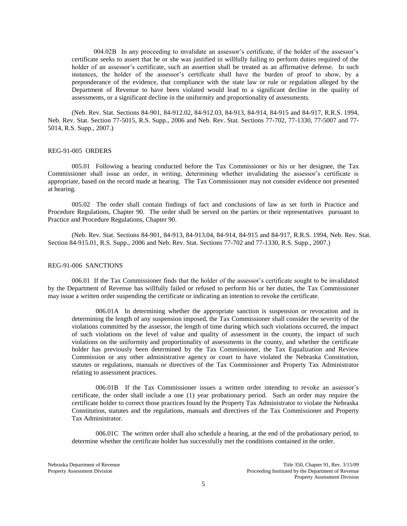004.02B In any proceeding to invalidate an assessor's certificate, if the holder of the assessor's certificate seeks to assert that he or she was justified in willfully failing to perform duties required of the holder of an assessor's certificate, such an assertion shall be treated as an affirmative defense. In such instances, the holder of the assessor's certificate shall have the burden of proof to show, by a preponderance of the evidence, that compliance with the state law or rule or regulation alleged by the Department of Revenue to have been violated would lead to a significant decline in the quality of assessments, or a significant decline in the uniformity and proportionality of assessments.

(Neb. Rev. Stat. Sections 84-901, 84-912.02, 84-912.03, 84-913, 84-914, 84-915 and 84-917, R.R.S. 1994, Neb. Rev. Stat. Section 77-5015, R.S. Supp., 2006 and Neb. Rev. Stat. Sections 77-702, 77-1330, 77-5007 and 77- 5014, R.S. Supp., 2007.)

### REG-91-005 ORDERS

005.01 Following a hearing conducted before the Tax Commissioner or his or her designee, the Tax Commissioner shall issue an order, in writing, determining whether invalidating the assessor's certificate is appropriate, based on the record made at hearing. The Tax Commissioner may not consider evidence not presented at hearing.

005.02 The order shall contain findings of fact and conclusions of law as set forth in Practice and Procedure Regulations, Chapter 90. The order shall be served on the parties or their representatives pursuant to Practice and Procedure Regulations, Chapter 90.

(Neb. Rev. Stat. Sections 84-901, 84-913, 84-913.04, 84-914, 84-915 and 84-917, R.R.S. 1994, Neb. Rev. Stat. Section 84-915.01, R.S. Supp., 2006 and Neb. Rev. Stat. Sections 77-702 and 77-1330, R.S. Supp., 2007.)

### REG-91-006 SANCTIONS

006.01 If the Tax Commissioner finds that the holder of the assessor's certificate sought to be invalidated by the Department of Revenue has willfully failed or refused to perform his or her duties, the Tax Commissioner may issue a written order suspending the certificate or indicating an intention to revoke the certificate.

006.01A In determining whether the appropriate sanction is suspension or revocation and in determining the length of any suspension imposed, the Tax Commissioner shall consider the severity of the violations committed by the assessor, the length of time during which such violations occurred, the impact of such violations on the level of value and quality of assessment in the county, the impact of such violations on the uniformity and proportionality of assessments in the county, and whether the certificate holder has previously been determined by the Tax Commissioner, the Tax Equalization and Review Commission or any other administrative agency or court to have violated the Nebraska Constitution, statutes or regulations, manuals or directives of the Tax Commissioner and Property Tax Administrator relating to assessment practices.

006.01B If the Tax Commissioner issues a written order intending to revoke an assessor's certificate, the order shall include a one (1) year probationary period. Such an order may require the certificate holder to correct those practices found by the Property Tax Administrator to violate the Nebraska Constitution, statutes and the regulations, manuals and directives of the Tax Commissioner and Property Tax Administrator.

006.01C The written order shall also schedule a hearing, at the end of the probationary period, to determine whether the certificate holder has successfully met the conditions contained in the order.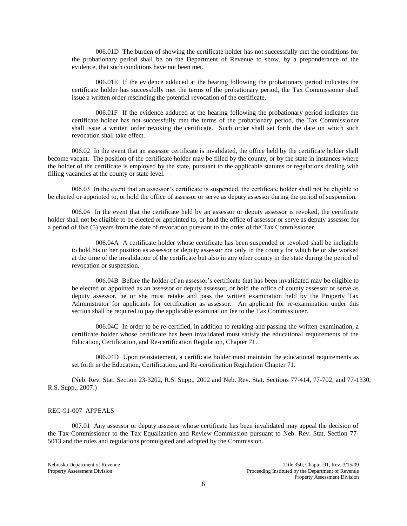006.01D The burden of showing the certificate holder has not successfully met the conditions for the probationary period shall be on the Department of Revenue to show, by a preponderance of the evidence, that such conditions have not been met.

006.01E If the evidence adduced at the hearing following the probationary period indicates the certificate holder has successfully met the terms of the probationary period, the Tax Commissioner shall issue a written order rescinding the potential revocation of the certificate.

006.01F If the evidence adduced at the hearing following the probationary period indicates the certificate holder has not successfully met the terms of the probationary period, the Tax Commissioner shall issue a written order revoking the certificate. Such order shall set forth the date on which such revocation shall take effect.

006.02 In the event that an assessor certificate is invalidated, the office held by the certificate holder shall become vacant. The position of the certificate holder may be filled by the county, or by the state in instances where the holder of the certificate is employed by the state, pursuant to the applicable statutes or regulations dealing with filling vacancies at the county or state level.

006.03 In the event that an assessor's certificate is suspended, the certificate holder shall not be eligible to be elected or appointed to, or hold the office of assessor or serve as deputy assessor during the period of suspension.

006.04 In the event that the certificate held by an assessor or deputy assessor is revoked, the certificate holder shall not be eligible to be elected or appointed to, or hold the office of assessor or serve as deputy assessor for a period of five (5) years from the date of revocation pursuant to the order of the Tax Commissioner.

006.04A A certificate holder whose certificate has been suspended or revoked shall be ineligible to hold his or her position as assessor or deputy assessor not only in the county for which he or she worked at the time of the invalidation of the certificate but also in any other county in the state during the period of revocation or suspension.

006.04B Before the holder of an assessor's certificate that has been invalidated may be eligible to be elected or appointed as an assessor or deputy assessor, or hold the office of county assessor or serve as deputy assessor, he or she must retake and pass the written examination held by the Property Tax Administrator for applicants for certification as assessor. An applicant for re-examination under this section shall be required to pay the applicable examination fee to the Tax Commissioner.

006.04C In order to be re-certified, in addition to retaking and passing the written examination, a certificate holder whose certificate has been invalidated must satisfy the educational requirements of the Education, Certification, and Re-certification Regulation, Chapter 71.

006.04D Upon reinstatement, a certificate holder must maintain the educational requirements as set forth in the Education, Certification, and Re-certification Regulation Chapter 71.

(Neb. Rev. Stat. Section 23-3202, R.S. Supp., 2002 and Neb. Rev. Stat. Sections 77-414, 77-702, and 77-1330, R.S. Supp., 2007.)

## REG-91-007 APPEALS

007.01 Any assessor or deputy assessor whose certificate has been invalidated may appeal the decision of the Tax Commissioner to the Tax Equalization and Review Commission pursuant to Neb. Rev. Stat. Section 77- 5013 and the rules and regulations promulgated and adopted by the Commission.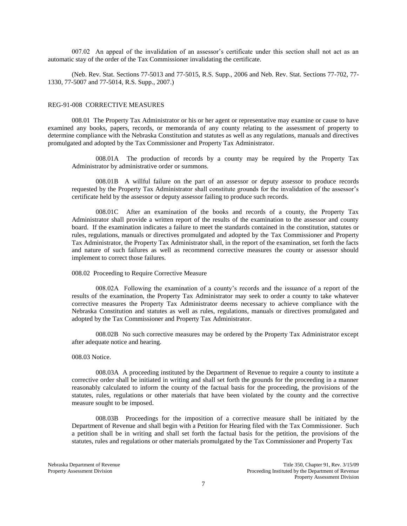007.02 An appeal of the invalidation of an assessor's certificate under this section shall not act as an automatic stay of the order of the Tax Commissioner invalidating the certificate.

(Neb. Rev. Stat. Sections 77-5013 and 77-5015, R.S. Supp., 2006 and Neb. Rev. Stat. Sections 77-702, 77- 1330, 77-5007 and 77-5014, R.S. Supp., 2007.)

#### REG-91-008 CORRECTIVE MEASURES

008.01 The Property Tax Administrator or his or her agent or representative may examine or cause to have examined any books, papers, records, or memoranda of any county relating to the assessment of property to determine compliance with the Nebraska Constitution and statutes as well as any regulations, manuals and directives promulgated and adopted by the Tax Commissioner and Property Tax Administrator.

008.01A The production of records by a county may be required by the Property Tax Administrator by administrative order or summons.

008.01B A willful failure on the part of an assessor or deputy assessor to produce records requested by the Property Tax Administrator shall constitute grounds for the invalidation of the assessor's certificate held by the assessor or deputy assessor failing to produce such records.

008.01C After an examination of the books and records of a county, the Property Tax Administrator shall provide a written report of the results of the examination to the assessor and county board. If the examination indicates a failure to meet the standards contained in the constitution, statutes or rules, regulations, manuals or directives promulgated and adopted by the Tax Commissioner and Property Tax Administrator, the Property Tax Administrator shall, in the report of the examination, set forth the facts and nature of such failures as well as recommend corrective measures the county or assessor should implement to correct those failures.

### 008.02 Proceeding to Require Corrective Measure

008.02A Following the examination of a county's records and the issuance of a report of the results of the examination, the Property Tax Administrator may seek to order a county to take whatever corrective measures the Property Tax Administrator deems necessary to achieve compliance with the Nebraska Constitution and statutes as well as rules, regulations, manuals or directives promulgated and adopted by the Tax Commissioner and Property Tax Administrator.

008.02B No such corrective measures may be ordered by the Property Tax Administrator except after adequate notice and hearing.

#### 008.03 Notice.

008.03A A proceeding instituted by the Department of Revenue to require a county to institute a corrective order shall be initiated in writing and shall set forth the grounds for the proceeding in a manner reasonably calculated to inform the county of the factual basis for the proceeding, the provisions of the statutes, rules, regulations or other materials that have been violated by the county and the corrective measure sought to be imposed.

008.03B Proceedings for the imposition of a corrective measure shall be initiated by the Department of Revenue and shall begin with a Petition for Hearing filed with the Tax Commissioner. Such a petition shall be in writing and shall set forth the factual basis for the petition, the provisions of the statutes, rules and regulations or other materials promulgated by the Tax Commissioner and Property Tax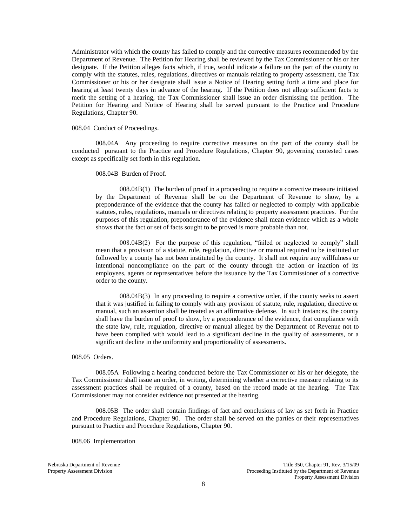Administrator with which the county has failed to comply and the corrective measures recommended by the Department of Revenue. The Petition for Hearing shall be reviewed by the Tax Commissioner or his or her designate. If the Petition alleges facts which, if true, would indicate a failure on the part of the county to comply with the statutes, rules, regulations, directives or manuals relating to property assessment, the Tax Commissioner or his or her designate shall issue a Notice of Hearing setting forth a time and place for hearing at least twenty days in advance of the hearing. If the Petition does not allege sufficient facts to merit the setting of a hearing, the Tax Commissioner shall issue an order dismissing the petition. The Petition for Hearing and Notice of Hearing shall be served pursuant to the Practice and Procedure Regulations, Chapter 90.

008.04 Conduct of Proceedings.

008.04A Any proceeding to require corrective measures on the part of the county shall be conducted pursuant to the Practice and Procedure Regulations, Chapter 90, governing contested cases except as specifically set forth in this regulation.

008.04B Burden of Proof.

008.04B(1) The burden of proof in a proceeding to require a corrective measure initiated by the Department of Revenue shall be on the Department of Revenue to show, by a preponderance of the evidence that the county has failed or neglected to comply with applicable statutes, rules, regulations, manuals or directives relating to property assessment practices. For the purposes of this regulation, preponderance of the evidence shall mean evidence which as a whole shows that the fact or set of facts sought to be proved is more probable than not.

008.04B(2) For the purpose of this regulation, "failed or neglected to comply" shall mean that a provision of a statute, rule, regulation, directive or manual required to be instituted or followed by a county has not been instituted by the county. It shall not require any willfulness or intentional noncompliance on the part of the county through the action or inaction of its employees, agents or representatives before the issuance by the Tax Commissioner of a corrective order to the county.

008.04B(3) In any proceeding to require a corrective order, if the county seeks to assert that it was justified in failing to comply with any provision of statute, rule, regulation, directive or manual, such an assertion shall be treated as an affirmative defense. In such instances, the county shall have the burden of proof to show, by a preponderance of the evidence, that compliance with the state law, rule, regulation, directive or manual alleged by the Department of Revenue not to have been complied with would lead to a significant decline in the quality of assessments, or a significant decline in the uniformity and proportionality of assessments.

008.05 Orders.

008.05A Following a hearing conducted before the Tax Commissioner or his or her delegate, the Tax Commissioner shall issue an order, in writing, determining whether a corrective measure relating to its assessment practices shall be required of a county, based on the record made at the hearing. The Tax Commissioner may not consider evidence not presented at the hearing.

008.05B The order shall contain findings of fact and conclusions of law as set forth in Practice and Procedure Regulations, Chapter 90. The order shall be served on the parties or their representatives pursuant to Practice and Procedure Regulations, Chapter 90.

008.06 Implementation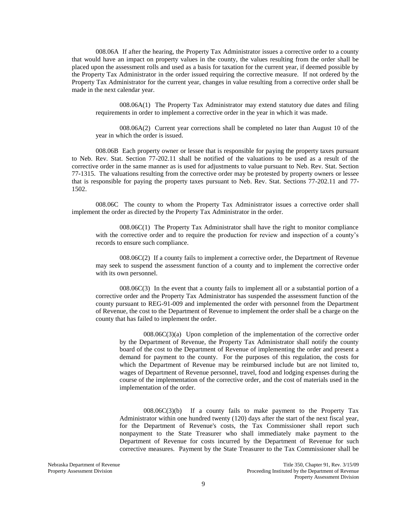008.06A If after the hearing, the Property Tax Administrator issues a corrective order to a county that would have an impact on property values in the county, the values resulting from the order shall be placed upon the assessment rolls and used as a basis for taxation for the current year, if deemed possible by the Property Tax Administrator in the order issued requiring the corrective measure. If not ordered by the Property Tax Administrator for the current year, changes in value resulting from a corrective order shall be made in the next calendar year.

008.06A(1) The Property Tax Administrator may extend statutory due dates and filing requirements in order to implement a corrective order in the year in which it was made.

008.06A(2) Current year corrections shall be completed no later than August 10 of the year in which the order is issued.

008.06B Each property owner or lessee that is responsible for paying the property taxes pursuant to Neb. Rev. Stat. Section 77-202.11 shall be notified of the valuations to be used as a result of the corrective order in the same manner as is used for adjustments to value pursuant to Neb. Rev. Stat. Section 77-1315. The valuations resulting from the corrective order may be protested by property owners or lessee that is responsible for paying the property taxes pursuant to Neb. Rev. Stat. Sections 77-202.11 and 77- 1502.

008.06C The county to whom the Property Tax Administrator issues a corrective order shall implement the order as directed by the Property Tax Administrator in the order.

008.06C(1) The Property Tax Administrator shall have the right to monitor compliance with the corrective order and to require the production for review and inspection of a county's records to ensure such compliance.

008.06C(2) If a county fails to implement a corrective order, the Department of Revenue may seek to suspend the assessment function of a county and to implement the corrective order with its own personnel.

008.06C(3) In the event that a county fails to implement all or a substantial portion of a corrective order and the Property Tax Administrator has suspended the assessment function of the county pursuant to REG-91-009 and implemented the order with personnel from the Department of Revenue, the cost to the Department of Revenue to implement the order shall be a charge on the county that has failed to implement the order.

 $008.06C(3)(a)$  Upon completion of the implementation of the corrective order by the Department of Revenue, the Property Tax Administrator shall notify the county board of the cost to the Department of Revenue of implementing the order and present a demand for payment to the county. For the purposes of this regulation, the costs for which the Department of Revenue may be reimbursed include but are not limited to, wages of Department of Revenue personnel, travel, food and lodging expenses during the course of the implementation of the corrective order, and the cost of materials used in the implementation of the order.

008.06C(3)(b) If a county fails to make payment to the Property Tax Administrator within one hundred twenty (120) days after the start of the next fiscal year, for the Department of Revenue's costs, the Tax Commissioner shall report such nonpayment to the State Treasurer who shall immediately make payment to the Department of Revenue for costs incurred by the Department of Revenue for such corrective measures. Payment by the State Treasurer to the Tax Commissioner shall be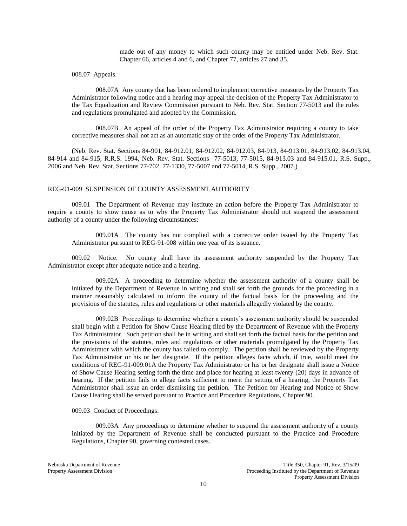made out of any money to which such county may be entitled under Neb. Rev. Stat. Chapter 66, articles 4 and 6, and Chapter 77, articles 27 and 35.

008.07 Appeals.

008.07A Any county that has been ordered to implement corrective measures by the Property Tax Administrator following notice and a hearing may appeal the decision of the Property Tax Administrator to the Tax Equalization and Review Commission pursuant to Neb. Rev. Stat. Section 77-5013 and the rules and regulations promulgated and adopted by the Commission.

008.07B An appeal of the order of the Property Tax Administrator requiring a county to take corrective measures shall not act as an automatic stay of the order of the Property Tax Administrator.

**(**Neb. Rev. Stat. Sections 84-901, 84-912.01, 84-912.02, 84-912.03, 84-913, 84-913.01, 84-913.02, 84-913.04, 84-914 and 84-915, R.R.S. 1994, Neb. Rev. Stat. Sections 77-5013, 77-5015, 84-913.03 and 84-915.01, R.S. Supp., 2006 and Neb. Rev. Stat. Sections 77-702, 77-1330, 77-5007 and 77-5014, R.S. Supp., 2007.)

#### REG-91-009 SUSPENSION OF COUNTY ASSESSMENT AUTHORITY

009.01 The Department of Revenue may institute an action before the Property Tax Administrator to require a county to show cause as to why the Property Tax Administrator should not suspend the assessment authority of a county under the following circumstances:

009.01A The county has not complied with a corrective order issued by the Property Tax Administrator pursuant to REG-91-008 within one year of its issuance.

009.02 Notice. No county shall have its assessment authority suspended by the Property Tax Administrator except after adequate notice and a hearing.

009.02A A proceeding to determine whether the assessment authority of a county shall be initiated by the Department of Revenue in writing and shall set forth the grounds for the proceeding in a manner reasonably calculated to inform the county of the factual basis for the proceeding and the provisions of the statutes, rules and regulations or other materials allegedly violated by the county.

009.02B Proceedings to determine whether a county's assessment authority should be suspended shall begin with a Petition for Show Cause Hearing filed by the Department of Revenue with the Property Tax Administrator. Such petition shall be in writing and shall set forth the factual basis for the petition and the provisions of the statutes, rules and regulations or other materials promulgated by the Property Tax Administrator with which the county has failed to comply. The petition shall be reviewed by the Property Tax Administrator or his or her designate. If the petition alleges facts which, if true, would meet the conditions of REG-91-009.01A the Property Tax Administrator or his or her designate shall issue a Notice of Show Cause Hearing setting forth the time and place for hearing at least twenty (20) days in advance of hearing. If the petition fails to allege facts sufficient to merit the setting of a hearing, the Property Tax Administrator shall issue an order dismissing the petition. The Petition for Hearing and Notice of Show Cause Hearing shall be served pursuant to Practice and Procedure Regulations, Chapter 90.

009.03 Conduct of Proceedings.

009.03A Any proceedings to determine whether to suspend the assessment authority of a county initiated by the Department of Revenue shall be conducted pursuant to the Practice and Procedure Regulations, Chapter 90, governing contested cases.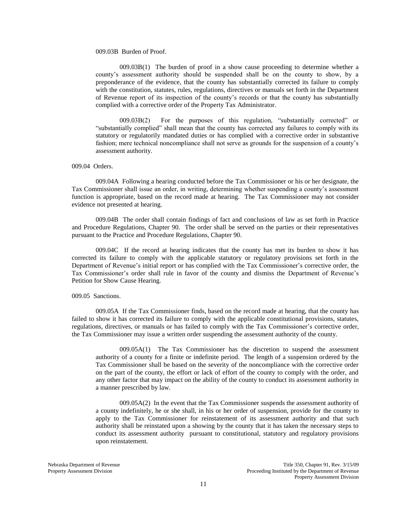## 009.03B Burden of Proof.

009.03B(1) The burden of proof in a show cause proceeding to determine whether a county's assessment authority should be suspended shall be on the county to show, by a preponderance of the evidence, that the county has substantially corrected its failure to comply with the constitution, statutes, rules, regulations, directives or manuals set forth in the Department of Revenue report of its inspection of the county's records or that the county has substantially complied with a corrective order of the Property Tax Administrator.

009.03B(2) For the purposes of this regulation, "substantially corrected" or "substantially complied" shall mean that the county has corrected any failures to comply with its statutory or regulatorily mandated duties or has complied with a corrective order in substantive fashion; mere technical noncompliance shall not serve as grounds for the suspension of a county's assessment authority.

#### 009.04 Orders.

009.04A Following a hearing conducted before the Tax Commissioner or his or her designate, the Tax Commissioner shall issue an order, in writing, determining whether suspending a county's assessment function is appropriate, based on the record made at hearing. The Tax Commissioner may not consider evidence not presented at hearing.

009.04B The order shall contain findings of fact and conclusions of law as set forth in Practice and Procedure Regulations, Chapter 90. The order shall be served on the parties or their representatives pursuant to the Practice and Procedure Regulations, Chapter 90.

009.04C If the record at hearing indicates that the county has met its burden to show it has corrected its failure to comply with the applicable statutory or regulatory provisions set forth in the Department of Revenue's initial report or has complied with the Tax Commissioner's corrective order, the Tax Commissioner's order shall rule in favor of the county and dismiss the Department of Revenue's Petition for Show Cause Hearing.

#### 009.05 Sanctions.

009.05A If the Tax Commissioner finds, based on the record made at hearing, that the county has failed to show it has corrected its failure to comply with the applicable constitutional provisions, statutes, regulations, directives, or manuals or has failed to comply with the Tax Commissioner's corrective order, the Tax Commissioner may issue a written order suspending the assessment authority of the county.

009.05A(1) The Tax Commissioner has the discretion to suspend the assessment authority of a county for a finite or indefinite period. The length of a suspension ordered by the Tax Commissioner shall be based on the severity of the noncompliance with the corrective order on the part of the county, the effort or lack of effort of the county to comply with the order, and any other factor that may impact on the ability of the county to conduct its assessment authority in a manner prescribed by law.

009.05A(2) In the event that the Tax Commissioner suspends the assessment authority of a county indefinitely, he or she shall, in his or her order of suspension, provide for the county to apply to the Tax Commissioner for reinstatement of its assessment authority and that such authority shall be reinstated upon a showing by the county that it has taken the necessary steps to conduct its assessment authority pursuant to constitutional, statutory and regulatory provisions upon reinstatement.